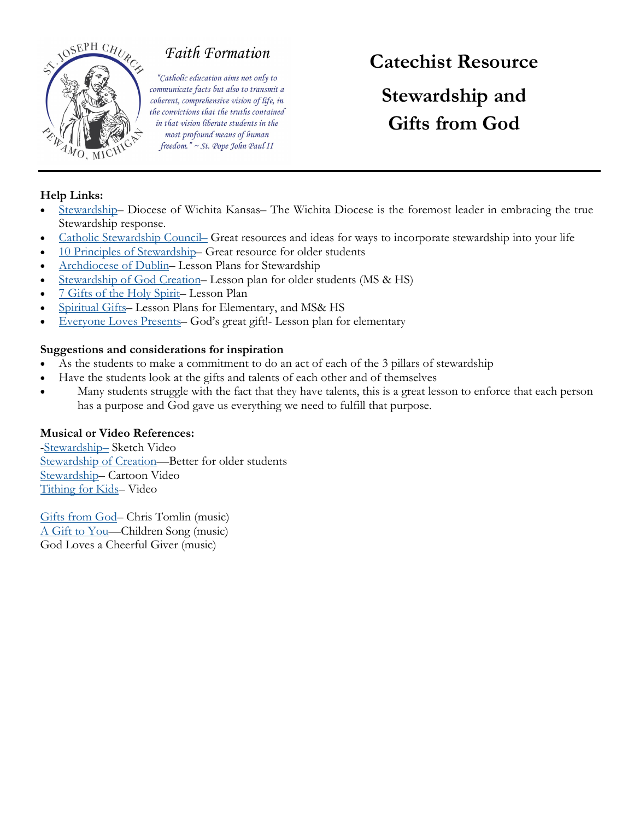

## **Faith Formation**

"Catholic education aims not only to communicate facts but also to transmit a coherent, comprehensive vision of life, in the convictions that the truths contained in that vision liberate students in the most profound means of human freedom." ~ St. Pope John Paul II

# **Catechist Resource Stewardship and Gifts from God**

### **Help Links:**

- [Stewardship](https://catholicdioceseofwichita.org/stewardship/) Diocese of Wichita Kansas– The Wichita Diocese is the foremost leader in embracing the true Stewardship response.
- [Catholic Stewardship Council](https://catholicstewardship.com/category/stewardship/) Great resources and ideas for ways to incorporate stewardship into your life
- [10 Principles of Stewardship](https://rcparish.org/ten-principles-of-catholic-stewardship-and-development/) Great resource for older students
- [Archdiocese of Dublin](http://education.dublindiocese.ie/steardship-creation-resources/) Lesson Plans for Stewardship
- [Stewardship of God Creation](https://www.caritas.org.au/media/jufnrwk0/secondary-lesson-table-stewardship.pdf?sfvrsn=4) Lesson plan for older students (MS & HS)
- [7 Gifts of the Holy Spirit](https://www.thereligionteacher.com/gifts-of-the-holy-spirit-lesson-plan/) Lesson Plan
- [Spiritual Gifts](https://static1.squarespace.com/static/5c509ad9b10598c13a3edfa8/t/5e74417892dfdf2b460b6a13/1584677243302/LESSON+12+-+2020-03-22.pdf) Lesson Plans for Elementary, and MS& HS
- [Everyone Loves Presents](https://kidsofintegrity.com/handson_activity/everyone-loves-presents-gods-great-gift/) God's great gift!- Lesson plan for elementary

#### **Suggestions and considerations for inspiration**

- As the students to make a commitment to do an act of each of the 3 pillars of stewardship
- Have the students look at the gifts and talents of each other and of themselves
- Many students struggle with the fact that they have talents, this is a great lesson to enforce that each person has a purpose and God gave us everything we need to fulfill that purpose.

### **Musical or Video References:**

-[Stewardship](https://www.youtube.com/watch?v=IexjUqXYcts)– Sketch Video [Stewardship of Creation](https://www.youtube.com/watch?v=lL0NMnJNWI8)-Better for older students [Stewardship](https://www.youtube.com/watch?v=_WSGrr3npTo)– Cartoon Video [Tithing for Kids](https://www.youtube.com/watch?v=CWf8gty3w84)– Video

[Gifts from God](https://www.youtube.com/watch?v=cfLGfuINnG4)– Chris Tomlin (music) [A Gift to You](https://www.youtube.com/watch?v=J_g76phMf5E)—Children Song (music) God Loves a Cheerful Giver (music)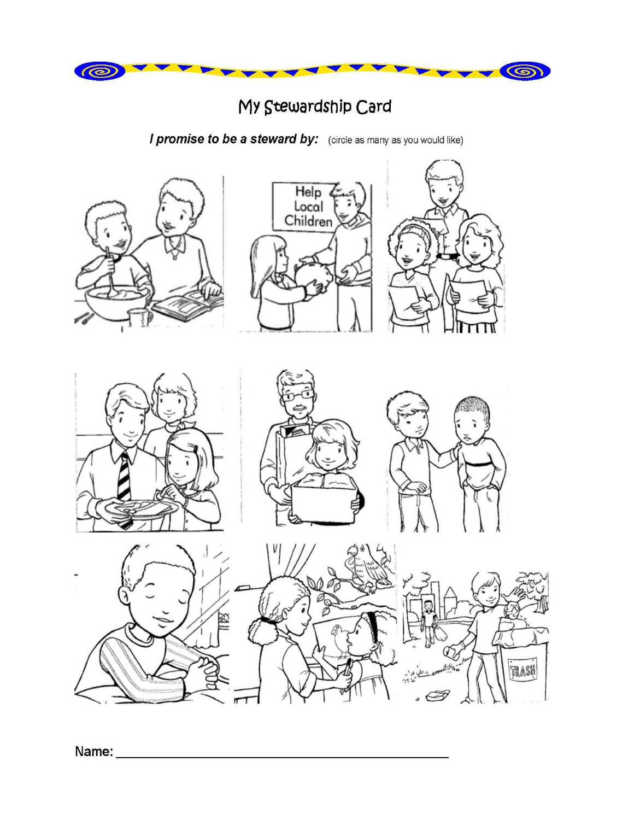

## My Stewardship Card

*I promise to be a steward by:* (circle as many as you would like)





TRASH

计

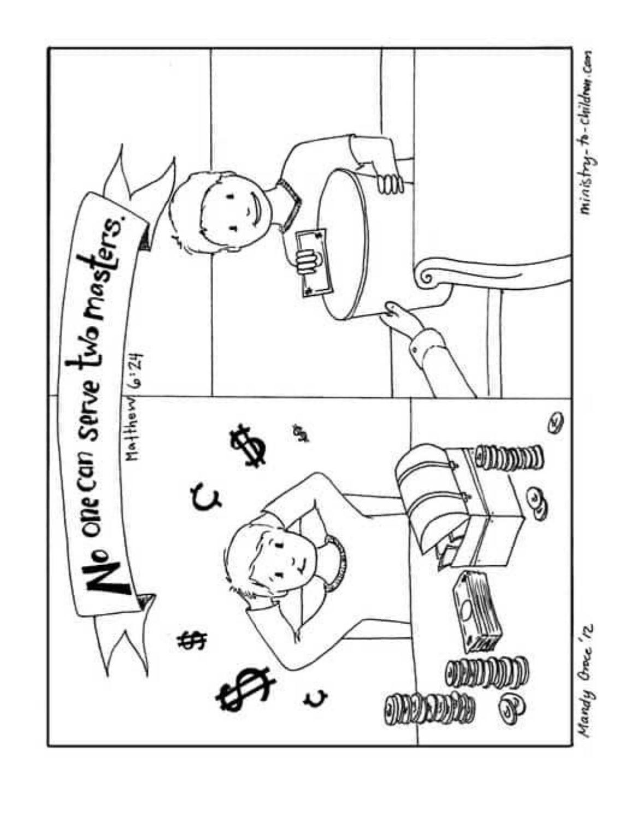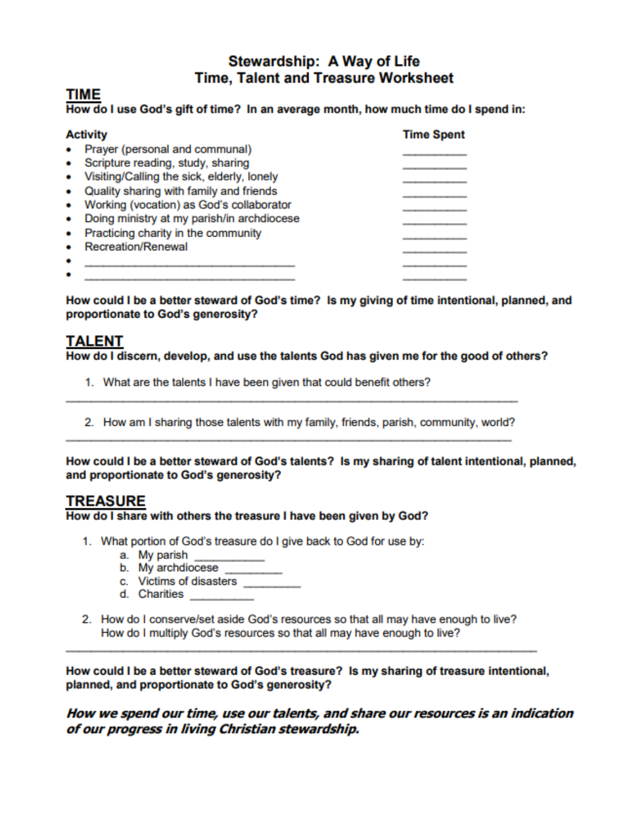## Stewardship: A Way of Life **Time, Talent and Treasure Worksheet**

## TIME

#### How do I use God's gift of time? In an average month, how much time do I spend in:

| <b>Activity</b>                                 | <b>Time Spent</b> |
|-------------------------------------------------|-------------------|
| Prayer (personal and communal)<br>۰             |                   |
| Scripture reading, study, sharing<br>٠          |                   |
| Visiting/Calling the sick, elderly, lonely<br>۰ |                   |
| Quality sharing with family and friends<br>٠    |                   |
| Working (vocation) as God's collaborator<br>٠   |                   |
| Doing ministry at my parish/in archdiocese      |                   |
| Practicing charity in the community<br>٠        |                   |
| <b>Recreation/Renewal</b>                       |                   |
|                                                 |                   |

How could I be a better steward of God's time? Is my giving of time intentional, planned, and proportionate to God's generosity?

## **TALENT**

How do I discern, develop, and use the talents God has given me for the good of others?

- 1. What are the talents I have been given that could benefit others?
- 2. How am I sharing those talents with my family, friends, parish, community, world?

How could I be a better steward of God's talents? Is my sharing of talent intentional, planned, and proportionate to God's generosity?

## **TREASURE**

#### How do I share with others the treasure I have been given by God?

- 1. What portion of God's treasure do I give back to God for use by:
	- a. My parish
	- b. My archdiocese
	- c. Victims of disasters
	- d. Charities
- 2. How do I conserve/set aside God's resources so that all may have enough to live? How do I multiply God's resources so that all may have enough to live?

How could I be a better steward of God's treasure? Is my sharing of treasure intentional, planned, and proportionate to God's generosity?

How we spend our time, use our talents, and share our resources is an indication of our progress in living Christian stewardship.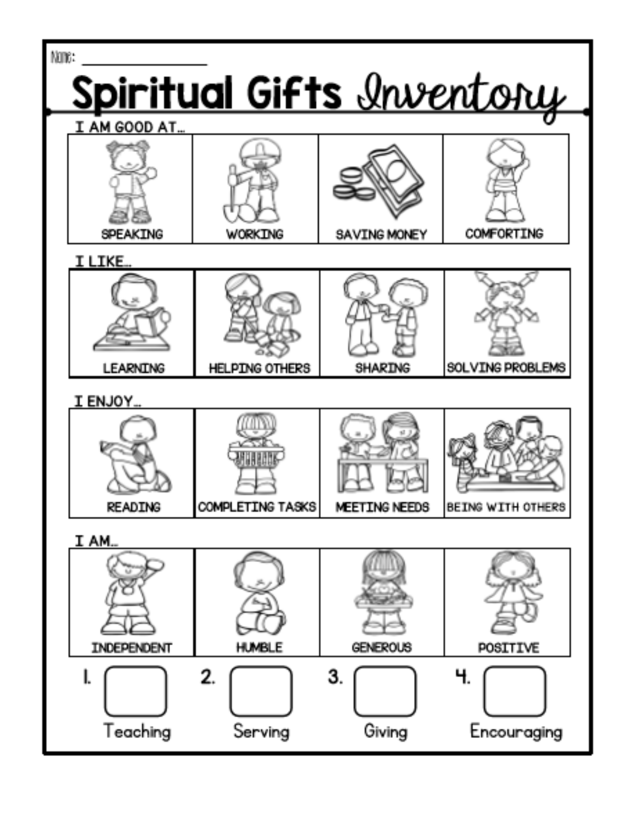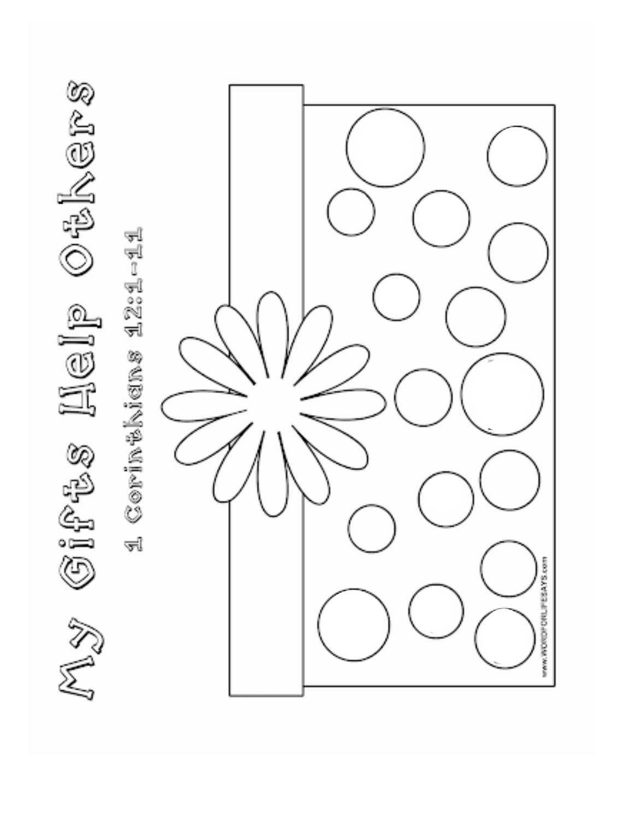